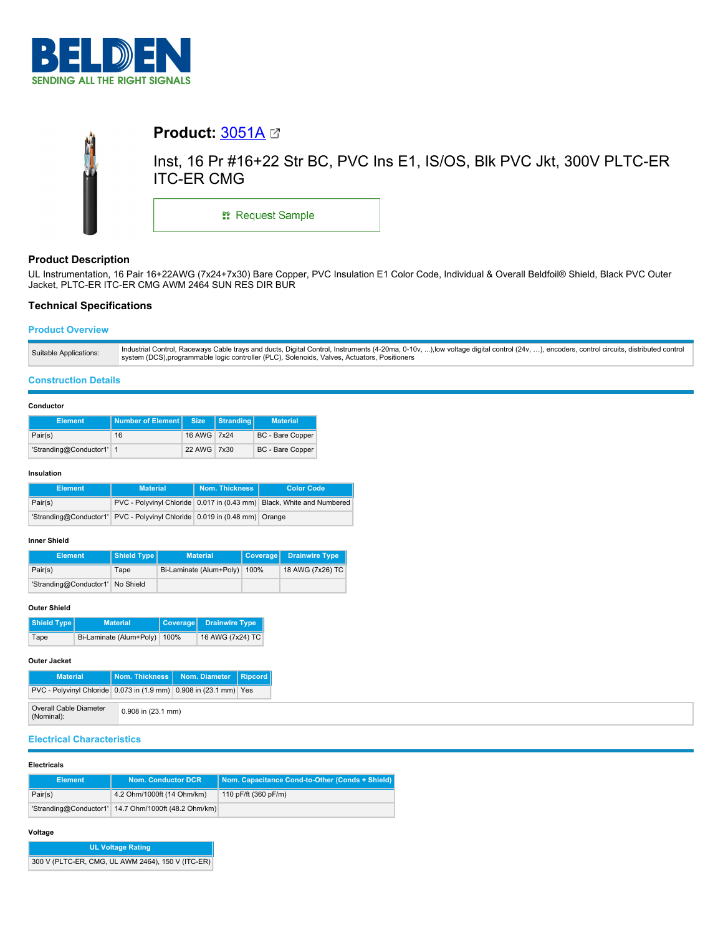



# **Product Description**

UL Instrumentation, 16 Pair 16+22AWG (7x24+7x30) Bare Copper, PVC Insulation E1 Color Code, Individual & Overall Beldfoil® Shield, Black PVC Outer Jacket, PLTC-ER ITC-ER CMG AWM 2464 SUN RES DIR BUR

# **Technical Specifications**

## **Product Overview**

## **Construction Details**

### **Conductor**

| <b>Element</b>           | Number of Element Size |             | Stranding | <b>Material</b>         |
|--------------------------|------------------------|-------------|-----------|-------------------------|
| Pair(s)                  | 16                     | 16 AWG 7x24 |           | <b>BC</b> - Bare Copper |
| 'Stranding@Conductor1' 1 |                        | 22 AWG 7x30 |           | BC - Bare Copper        |

#### **Insulation**

| <b>Element</b> | <b>Material</b>                                                           | Nom. Thickness I | <b>Color Code</b>                                                     |
|----------------|---------------------------------------------------------------------------|------------------|-----------------------------------------------------------------------|
| Pair(s)        |                                                                           |                  | PVC - Polyvinyl Chloride 0.017 in (0.43 mm) Black, White and Numbered |
|                | 'Stranding@Conductor1' PVC - Polyvinyl Chloride 0.019 in (0.48 mm) Orange |                  |                                                                       |

## **Inner Shield**

| <b>Element</b>                   | Shield Type | <b>Material</b>                | Coverage Drainwire Type |
|----------------------------------|-------------|--------------------------------|-------------------------|
| Pair(s)                          | Tape        | Bi-Laminate (Alum+Poly)   100% | 18 AWG (7x26) TC        |
| 'Stranding@Conductor1' No Shield |             |                                |                         |

### **Outer Shield**

| Shield Type | <b>Material</b>         | Coverage | Drainwire Type,  |
|-------------|-------------------------|----------|------------------|
| Tape        | Bi-Laminate (Alum+Poly) | 100%     | 16 AWG (7x24) TC |

## **Outer Jacket**

| <b>Material</b>                                                   |                    | Nom. Thickness Nom. Diameter | Ripcord |
|-------------------------------------------------------------------|--------------------|------------------------------|---------|
| PVC - Polyvinyl Chloride 0.073 in (1.9 mm) 0.908 in (23.1 mm) Yes |                    |                              |         |
| Overall Cable Diameter<br>(Nominal):                              | 0.908 in (23.1 mm) |                              |         |

# **Electrical Characteristics**

### **Electricals**

| <b>Element</b> | <b>Nom. Conductor DCR</b>                            | Nom. Capacitance Cond-to-Other (Conds + Shield) |
|----------------|------------------------------------------------------|-------------------------------------------------|
| Pair(s)        | 4.2 Ohm/1000ft (14 Ohm/km)                           | 110 pF/ft (360 pF/m)                            |
|                | 'Stranding@Conductor1' 14.7 Ohm/1000ft (48.2 Ohm/km) |                                                 |

## **Voltage**

| <b>UL Voltage Rating</b>                          |
|---------------------------------------------------|
| 300 V (PLTC-ER, CMG, UL AWM 2464), 150 V (ITC-ER) |